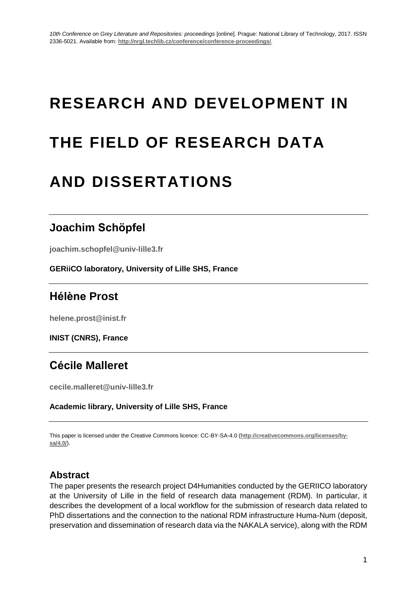# **RESEARCH AND DEVELOPMENT IN**

# **THE FIELD OF RESEARCH DATA**

# **AND DISSERTATIONS**

## **Joachim Schöpfel**

**joachim.schopfel@univ-lille3.fr**

**GERiiCO laboratory, University of Lille SHS, France**

# **Hélène Prost**

**helene.prost@inist.fr**

**INIST (CNRS), France**

# **Cécile Malleret**

**cecile.malleret@univ-lille3.fr**

**Academic library, University of Lille SHS, France**

This paper is licensed under the Creative Commons licence: CC-BY-SA-4.0 (**[http://creativecommons.org/licenses/by](http://creativecommons.org/licenses/by-sa/4.0/)[sa/4.0/](http://creativecommons.org/licenses/by-sa/4.0/)**).

### **Abstract**

The paper presents the research project D4Humanities conducted by the GERIICO laboratory at the University of Lille in the field of research data management (RDM). In particular, it describes the development of a local workflow for the submission of research data related to PhD dissertations and the connection to the national RDM infrastructure Huma-Num (deposit, preservation and dissemination of research data via the NAKALA service), along with the RDM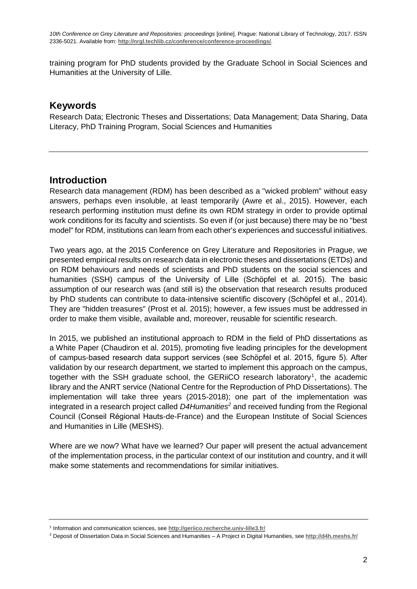training program for PhD students provided by the Graduate School in Social Sciences and Humanities at the University of Lille.

#### **Keywords**

Research Data; Electronic Theses and Dissertations; Data Management; Data Sharing, Data Literacy, PhD Training Program, Social Sciences and Humanities

#### **Introduction**

Research data management (RDM) has been described as a "wicked problem" without easy answers, perhaps even insoluble, at least temporarily (Awre et al., 2015). However, each research performing institution must define its own RDM strategy in order to provide optimal work conditions for its faculty and scientists. So even if (or just because) there may be no "best model" for RDM, institutions can learn from each other's experiences and successful initiatives.

Two years ago, at the 2015 Conference on Grey Literature and Repositories in Prague, we presented empirical results on research data in electronic theses and dissertations (ETDs) and on RDM behaviours and needs of scientists and PhD students on the social sciences and humanities (SSH) campus of the University of Lille (Schöpfel et al. 2015). The basic assumption of our research was (and still is) the observation that research results produced by PhD students can contribute to data-intensive scientific discovery (Schöpfel et al., 2014). They are "hidden treasures" (Prost et al. 2015); however, a few issues must be addressed in order to make them visible, available and, moreover, reusable for scientific research.

In 2015, we published an institutional approach to RDM in the field of PhD dissertations as a White Paper (Chaudiron et al. 2015), promoting five leading principles for the development of campus-based research data support services (see Schöpfel et al. 2015, figure 5). After validation by our research department, we started to implement this approach on the campus, together with the SSH graduate school, the GERiiCO research laboratory<sup>1</sup>, the academic library and the ANRT service (National Centre for the Reproduction of PhD Dissertations). The implementation will take three years (2015-2018); one part of the implementation was integrated in a research project called *D4Humanities<sup>2</sup>* and received funding from the Regional Council (Conseil Régional Hauts-de-France) and the European Institute of Social Sciences and Humanities in Lille (MESHS).

Where are we now? What have we learned? Our paper will present the actual advancement of the implementation process, in the particular context of our institution and country, and it will make some statements and recommendations for similar initiatives.

<sup>1</sup> Information and communication sciences, see **http://geriico.recherche.univ-lille3.fr/**

<sup>2</sup> Deposit of Dissertation Data in Social Sciences and Humanities – A Project in Digital Humanities, see **http://d4h.meshs.fr/**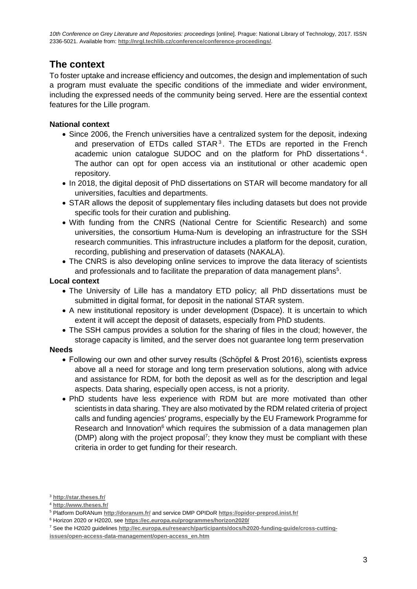#### **The context**

To foster uptake and increase efficiency and outcomes, the design and implementation of such a program must evaluate the specific conditions of the immediate and wider environment, including the expressed needs of the community being served. Here are the essential context features for the Lille program.

#### **National context**

- Since 2006, the French universities have a centralized system for the deposit, indexing and preservation of ETDs called  $STAR<sup>3</sup>$ . The ETDs are reported in the French academic union catalogue SUDOC and on the platform for PhD dissertations<sup>4</sup>. The author can opt for open access via an institutional or other academic open repository.
- In 2018, the digital deposit of PhD dissertations on STAR will become mandatory for all universities, faculties and departments.
- STAR allows the deposit of supplementary files including datasets but does not provide specific tools for their curation and publishing.
- With funding from the CNRS (National Centre for Scientific Research) and some universities, the consortium Huma-Num is developing an infrastructure for the SSH research communities. This infrastructure includes a platform for the deposit, curation, recording, publishing and preservation of datasets (NAKALA).
- The CNRS is also developing online services to improve the data literacy of scientists and professionals and to facilitate the preparation of data management plans $5$ .

#### **Local context**

- The University of Lille has a mandatory ETD policy; all PhD dissertations must be submitted in digital format, for deposit in the national STAR system.
- A new institutional repository is under development (Dspace). It is uncertain to which extent it will accept the deposit of datasets, especially from PhD students.
- The SSH campus provides a solution for the sharing of files in the cloud; however, the storage capacity is limited, and the server does not guarantee long term preservation

#### **Needs**

- Following our own and other survey results (Schöpfel & Prost 2016), scientists express above all a need for storage and long term preservation solutions, along with advice and assistance for RDM, for both the deposit as well as for the description and legal aspects. Data sharing, especially open access, is not a priority.
- PhD students have less experience with RDM but are more motivated than other scientists in data sharing. They are also motivated by the RDM related criteria of project calls and funding agencies' programs, especially by the EU Framework Programme for Research and Innovation<sup>6</sup> which requires the submission of a data managemen plan (DMP) along with the project proposal<sup>7</sup>; they know they must be compliant with these criteria in order to get funding for their research.

<sup>3</sup> **http://star.theses.fr/**

<sup>4</sup> **http://www.theses.fr/**

<sup>5</sup> Platform DoRANum **<http://doranum.fr/>** and service DMP OPIDoR **<https://opidor-preprod.inist.fr/>**

<sup>6</sup> Horizon 2020 or H2020, see **<https://ec.europa.eu/programmes/horizon2020/>**

<sup>7</sup> See the H2020 guidelines **[http://ec.europa.eu/research/participants/docs/h2020-funding-guide/cross-cutting-](http://ec.europa.eu/research/participants/docs/h2020-funding-guide/cross-cutting-issues/open-access-data-management/open-access_en.htm)**

**[issues/open-access-data-management/open-access\\_en.htm](http://ec.europa.eu/research/participants/docs/h2020-funding-guide/cross-cutting-issues/open-access-data-management/open-access_en.htm)**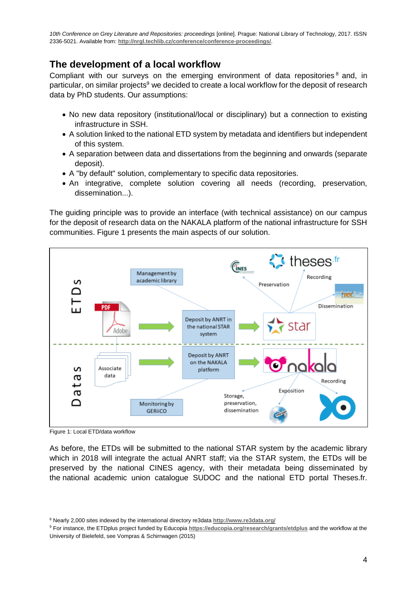#### **The development of a local workflow**

Compliant with our surveys on the emerging environment of data repositories<sup>8</sup> and, in particular, on similar projects<sup>9</sup> we decided to create a local workflow for the deposit of research data by PhD students. Our assumptions:

- No new data repository (institutional/local or disciplinary) but a connection to existing infrastructure in SSH.
- A solution linked to the national ETD system by metadata and identifiers but independent of this system.
- A separation between data and dissertations from the beginning and onwards (separate deposit).
- A "by default" solution, complementary to specific data repositories.
- An integrative, complete solution covering all needs (recording, preservation, dissemination...).

The guiding principle was to provide an interface (with technical assistance) on our campus for the deposit of research data on the NAKALA platform of the national infrastructure for SSH communities. Figure 1 presents the main aspects of our solution.



Figure 1: Local ETD/data workflow

As before, the ETDs will be submitted to the national STAR system by the academic library which in 2018 will integrate the actual ANRT staff; via the STAR system, the ETDs will be preserved by the national CINES agency, with their metadata being disseminated by the national academic union catalogue SUDOC and the national ETD portal Theses.fr.

<sup>8</sup> Nearly 2,000 sites indexed by the international directory re3data **<http://www.re3data.org/>**

<sup>9</sup> For instance, the ETDplus project funded by Educopia **<https://educopia.org/research/grants/etdplus>** and the workflow at the University of Bielefeld, see Vompras & Schirrwagen (2015)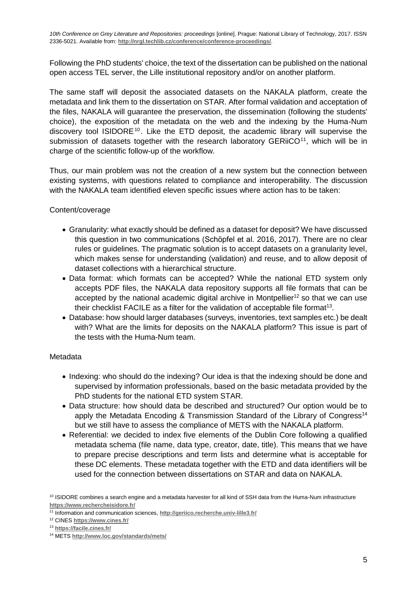Following the PhD students' choice, the text of the dissertation can be published on the national open access TEL server, the Lille institutional repository and/or on another platform.

The same staff will deposit the associated datasets on the NAKALA platform, create the metadata and link them to the dissertation on STAR. After formal validation and acceptation of the files, NAKALA will guarantee the preservation, the dissemination (following the students' choice), the exposition of the metadata on the web and the indexing by the Huma-Num discovery tool ISIDORE<sup>10</sup>. Like the ETD deposit, the academic library will supervise the submission of datasets together with the research laboratory  $GERi<sub>1</sub>,$  which will be in charge of the scientific follow-up of the workflow.

Thus, our main problem was not the creation of a new system but the connection between existing systems, with questions related to compliance and interoperability. The discussion with the NAKALA team identified eleven specific issues where action has to be taken:

#### Content/coverage

- Granularity: what exactly should be defined as a dataset for deposit? We have discussed this question in two communications (Schöpfel et al. 2016, 2017). There are no clear rules or guidelines. The pragmatic solution is to accept datasets on a granularity level, which makes sense for understanding (validation) and reuse, and to allow deposit of dataset collections with a hierarchical structure.
- Data format: which formats can be accepted? While the national ETD system only accepts PDF files, the NAKALA data repository supports all file formats that can be accepted by the national academic digital archive in Montpellier<sup>12</sup> so that we can use their checklist FACILE as a filter for the validation of acceptable file format<sup>13</sup>.
- Database: how should larger databases (surveys, inventories, text samples etc.) be dealt with? What are the limits for deposits on the NAKALA platform? This issue is part of the tests with the Huma-Num team.

#### Metadata

- Indexing: who should do the indexing? Our idea is that the indexing should be done and supervised by information professionals, based on the basic metadata provided by the PhD students for the national ETD system STAR.
- Data structure: how should data be described and structured? Our option would be to apply the Metadata Encoding & Transmission Standard of the Library of Congress<sup>14</sup> but we still have to assess the compliance of METS with the NAKALA platform.
- Referential: we decided to index five elements of the Dublin Core following a qualified metadata schema (file name, data type, creator, date, title). This means that we have to prepare precise descriptions and term lists and determine what is acceptable for these DC elements. These metadata together with the ETD and data identifiers will be used for the connection between dissertations on STAR and data on NAKALA.

 $10$  ISIDORE combines a search engine and a metadata harvester for all kind of SSH data from the Huma-Num infrastructure **<https://www.rechercheisidore.fr/>**

<sup>11</sup> Information and communication sciences, **<http://geriico.recherche.univ-lille3.fr/>**

<sup>12</sup> CINES **<https://www.cines.fr/>**

<sup>13</sup> **<https://facile.cines.fr/>**

<sup>14</sup> METS **<http://www.loc.gov/standards/mets/>**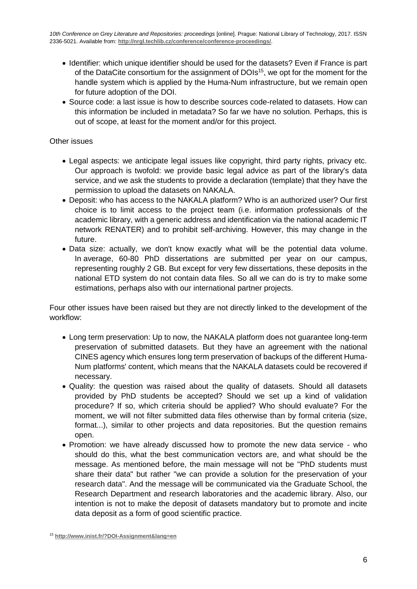- Identifier: which unique identifier should be used for the datasets? Even if France is part of the DataCite consortium for the assignment of DOIs<sup>15</sup>, we opt for the moment for the handle system which is applied by the Huma-Num infrastructure, but we remain open for future adoption of the DOI.
- Source code: a last issue is how to describe sources code-related to datasets. How can this information be included in metadata? So far we have no solution. Perhaps, this is out of scope, at least for the moment and/or for this project.

#### Other issues

- Legal aspects: we anticipate legal issues like copyright, third party rights, privacy etc. Our approach is twofold: we provide basic legal advice as part of the library's data service, and we ask the students to provide a declaration (template) that they have the permission to upload the datasets on NAKALA.
- Deposit: who has access to the NAKALA platform? Who is an authorized user? Our first choice is to limit access to the project team (i.e. information professionals of the academic library, with a generic address and identification via the national academic IT network RENATER) and to prohibit self-archiving. However, this may change in the future.
- Data size: actually, we don't know exactly what will be the potential data volume. In average, 60-80 PhD dissertations are submitted per year on our campus, representing roughly 2 GB. But except for very few dissertations, these deposits in the national ETD system do not contain data files. So all we can do is try to make some estimations, perhaps also with our international partner projects.

Four other issues have been raised but they are not directly linked to the development of the workflow:

- Long term preservation: Up to now, the NAKALA platform does not guarantee long-term preservation of submitted datasets. But they have an agreement with the national CINES agency which ensures long term preservation of backups of the different Huma-Num platforms' content, which means that the NAKALA datasets could be recovered if necessary.
- Quality: the question was raised about the quality of datasets. Should all datasets provided by PhD students be accepted? Should we set up a kind of validation procedure? If so, which criteria should be applied? Who should evaluate? For the moment, we will not filter submitted data files otherwise than by formal criteria (size, format...), similar to other projects and data repositories. But the question remains open.
- Promotion: we have already discussed how to promote the new data service who should do this, what the best communication vectors are, and what should be the message. As mentioned before, the main message will not be "PhD students must share their data" but rather "we can provide a solution for the preservation of your research data". And the message will be communicated via the Graduate School, the Research Department and research laboratories and the academic library. Also, our intention is not to make the deposit of datasets mandatory but to promote and incite data deposit as a form of good scientific practice.

<sup>15</sup> **<http://www.inist.fr/?DOI-Assignment&lang=en>**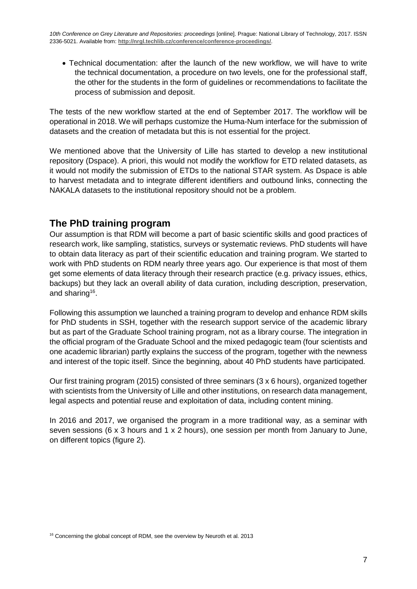Technical documentation: after the launch of the new workflow, we will have to write the technical documentation, a procedure on two levels, one for the professional staff, the other for the students in the form of guidelines or recommendations to facilitate the process of submission and deposit.

The tests of the new workflow started at the end of September 2017. The workflow will be operational in 2018. We will perhaps customize the Huma-Num interface for the submission of datasets and the creation of metadata but this is not essential for the project.

We mentioned above that the University of Lille has started to develop a new institutional repository (Dspace). A priori, this would not modify the workflow for ETD related datasets, as it would not modify the submission of ETDs to the national STAR system. As Dspace is able to harvest metadata and to integrate different identifiers and outbound links, connecting the NAKALA datasets to the institutional repository should not be a problem.

#### **The PhD training program**

Our assumption is that RDM will become a part of basic scientific skills and good practices of research work, like sampling, statistics, surveys or systematic reviews. PhD students will have to obtain data literacy as part of their scientific education and training program. We started to work with PhD students on RDM nearly three years ago. Our experience is that most of them get some elements of data literacy through their research practice (e.g. privacy issues, ethics, backups) but they lack an overall ability of data curation, including description, preservation, and sharing<sup>16</sup>.

Following this assumption we launched a training program to develop and enhance RDM skills for PhD students in SSH, together with the research support service of the academic library but as part of the Graduate School training program, not as a library course. The integration in the official program of the Graduate School and the mixed pedagogic team (four scientists and one academic librarian) partly explains the success of the program, together with the newness and interest of the topic itself. Since the beginning, about 40 PhD students have participated.

Our first training program (2015) consisted of three seminars (3 x 6 hours), organized together with scientists from the University of Lille and other institutions, on research data management, legal aspects and potential reuse and exploitation of data, including content mining.

In 2016 and 2017, we organised the program in a more traditional way, as a seminar with seven sessions (6 x 3 hours and 1 x 2 hours), one session per month from January to June, on different topics (figure 2).

<sup>&</sup>lt;sup>16</sup> Concerning the global concept of RDM, see the overview by Neuroth et al. 2013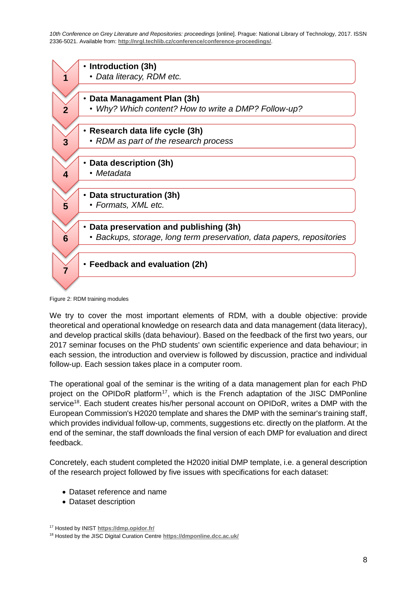|   | Introduction (3h)                                                     |
|---|-----------------------------------------------------------------------|
|   | • Data literacy, RDM etc.                                             |
|   |                                                                       |
|   |                                                                       |
|   | Data Managament Plan (3h)                                             |
|   | • Why? Which content? How to write a DMP? Follow-up?                  |
|   |                                                                       |
|   | Research data life cycle (3h)                                         |
|   | • RDM as part of the research process                                 |
|   |                                                                       |
|   |                                                                       |
|   | Data description (3h)                                                 |
|   | • Metadata                                                            |
|   |                                                                       |
|   | Data structuration (3h)                                               |
| 5 | • Formats, XML etc.                                                   |
|   |                                                                       |
|   | Data preservation and publishing (3h)                                 |
| 6 | • Backups, storage, long term preservation, data papers, repositories |
|   |                                                                       |
|   |                                                                       |
|   | • Feedback and evaluation (2h)                                        |
|   |                                                                       |
|   |                                                                       |
|   |                                                                       |

Figure 2: RDM training modules

We try to cover the most important elements of RDM, with a double objective: provide theoretical and operational knowledge on research data and data management (data literacy), and develop practical skills (data behaviour). Based on the feedback of the first two years, our 2017 seminar focuses on the PhD students' own scientific experience and data behaviour; in each session, the introduction and overview is followed by discussion, practice and individual follow-up. Each session takes place in a computer room.

The operational goal of the seminar is the writing of a data management plan for each PhD project on the OPIDoR platform<sup>17</sup>, which is the French adaptation of the JISC DMPonline service<sup>18</sup>. Each student creates his/her personal account on OPIDoR, writes a DMP with the European Commission's H2020 template and shares the DMP with the seminar's training staff, which provides individual follow-up, comments, suggestions etc. directly on the platform. At the end of the seminar, the staff downloads the final version of each DMP for evaluation and direct feedback.

Concretely, each student completed the H2020 initial DMP template, i.e. a general description of the research project followed by five issues with specifications for each dataset:

- Dataset reference and name
- Dataset description

<sup>17</sup> Hosted by INIST **<https://dmp.opidor.fr/>**

<sup>18</sup> Hosted by the JISC Digital Curation Centre **<https://dmponline.dcc.ac.uk/>**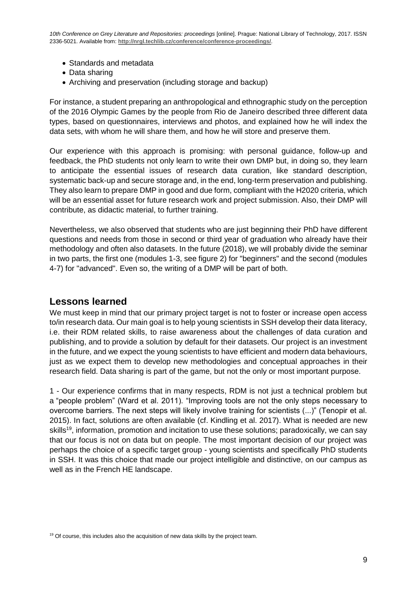- Standards and metadata
- Data sharing
- Archiving and preservation (including storage and backup)

For instance, a student preparing an anthropological and ethnographic study on the perception of the 2016 Olympic Games by the people from Rio de Janeiro described three different data types, based on questionnaires, interviews and photos, and explained how he will index the data sets, with whom he will share them, and how he will store and preserve them.

Our experience with this approach is promising: with personal guidance, follow-up and feedback, the PhD students not only learn to write their own DMP but, in doing so, they learn to anticipate the essential issues of research data curation, like standard description, systematic back-up and secure storage and, in the end, long-term preservation and publishing. They also learn to prepare DMP in good and due form, compliant with the H2020 criteria, which will be an essential asset for future research work and project submission. Also, their DMP will contribute, as didactic material, to further training.

Nevertheless, we also observed that students who are just beginning their PhD have different questions and needs from those in second or third year of graduation who already have their methodology and often also datasets. In the future (2018), we will probably divide the seminar in two parts, the first one (modules 1-3, see figure 2) for "beginners" and the second (modules 4-7) for "advanced". Even so, the writing of a DMP will be part of both.

#### **Lessons learned**

We must keep in mind that our primary project target is not to foster or increase open access to/in research data. Our main goal is to help young scientists in SSH develop their data literacy, i.e. their RDM related skills, to raise awareness about the challenges of data curation and publishing, and to provide a solution by default for their datasets. Our project is an investment in the future, and we expect the young scientists to have efficient and modern data behaviours, just as we expect them to develop new methodologies and conceptual approaches in their research field. Data sharing is part of the game, but not the only or most important purpose.

1 - Our experience confirms that in many respects, RDM is not just a technical problem but a "people problem" (Ward et al. 2011). "Improving tools are not the only steps necessary to overcome barriers. The next steps will likely involve training for scientists (...)" (Tenopir et al. overcome barriers. The next steps will likely involve training for scientists (...)" (Tenopir et al. 2015). In fact, solutions are often available (cf. Kindling et al. 2017). What is needed are new skills<sup>19</sup>, information, promotion and incitation to use these solutions; paradoxically, we can say that our focus is not on data but on people. The most important decision of our project was perhaps the choice of a specific target group - young scientists and specifically PhD students in SSH. It was this choice that made our project intelligible and distinctive, on our campus as well as in the French HE landscape.

 $19$  Of course, this includes also the acquisition of new data skills by the project team.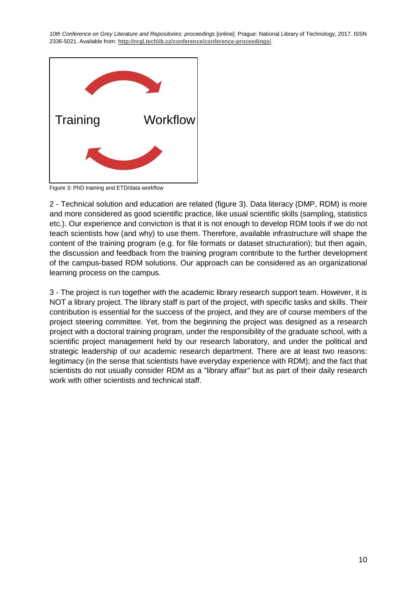

Figure 3: PhD training and ETD/data workflow

2 - Technical solution and education are related (figure 3). Data literacy (DMP, RDM) is more and more considered as good scientific practice, like usual scientific skills (sampling, statistics etc.). Our experience and conviction is that it is not enough to develop RDM tools if we do not teach scientists how (and why) to use them. Therefore, available infrastructure will shape the content of the training program (e.g. for file formats or dataset structuration); but then again, the discussion and feedback from the training program contribute to the further development of the campus-based RDM solutions. Our approach can be considered as an organizational learning process on the campus.

3 - The project is run together with the academic library research support team. However, it is NOT a library project. The library staff is part of the project, with specific tasks and skills. Their contribution is essential for the success of the project, and they are of course members of the project steering committee. Yet, from the beginning the project was designed as a research project with a doctoral training program, under the responsibility of the graduate school, with a scientific project management held by our research laboratory, and under the political and strategic leadership of our academic research department. There are at least two reasons: legitimacy (in the sense that scientists have everyday experience with RDM); and the fact that scientists do not usually consider RDM as a "library affair" but as part of their daily research work with other scientists and technical staff.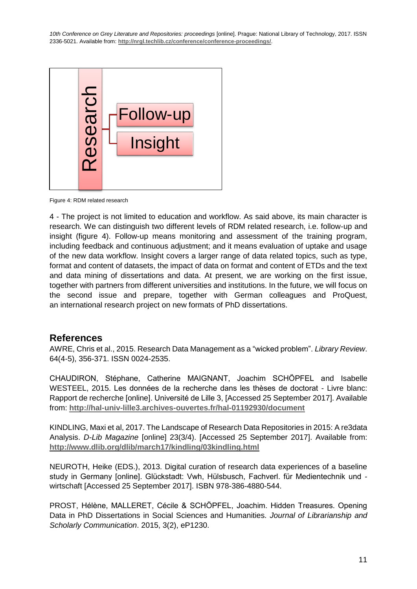

Figure 4: RDM related research

4 - The project is not limited to education and workflow. As said above, its main character is research. We can distinguish two different levels of RDM related research, i.e. follow-up and insight (figure 4). Follow-up means monitoring and assessment of the training program, including feedback and continuous adjustment; and it means evaluation of uptake and usage of the new data workflow. Insight covers a larger range of data related topics, such as type, format and content of datasets, the impact of data on format and content of ETDs and the text and data mining of dissertations and data. At present, we are working on the first issue, together with partners from different universities and institutions. In the future, we will focus on the second issue and prepare, together with German colleagues and ProQuest, an international research project on new formats of PhD dissertations.

#### **References**

AWRE, Chris et al., 2015. Research Data Management as a "wicked problem". *Library Review*. 64(4-5), 356-371. ISSN 0024-2535.

CHAUDIRON, Stéphane, Catherine MAIGNANT, Joachim SCHÖPFEL and Isabelle WESTEEL, 2015. Les données de la recherche dans les thèses de doctorat - Livre blanc: Rapport de recherche [online]. Université de Lille 3, [Accessed 25 September 2017]. Available from: **<http://hal-univ-lille3.archives-ouvertes.fr/hal-01192930/document>**

KINDLING, Maxi et al, 2017. The Landscape of Research Data Repositories in 2015: A re3data Analysis. *D-Lib Magazine* [online] 23(3/4). [Accessed 25 September 2017]. Available from: **<http://www.dlib.org/dlib/march17/kindling/03kindling.html>**

NEUROTH, Heike (EDS.), 2013. Digital curation of research data experiences of a baseline study in Germany [online]. Glückstadt: Vwh, Hülsbusch, Fachverl. für Medientechnik und wirtschaft [Accessed 25 September 2017]. ISBN 978-386-4880-544.

PROST, Hélène, MALLERET, Cécile & SCHÖPFEL, Joachim. Hidden Treasures. Opening Data in PhD Dissertations in Social Sciences and Humanities. *Journal of Librarianship and*